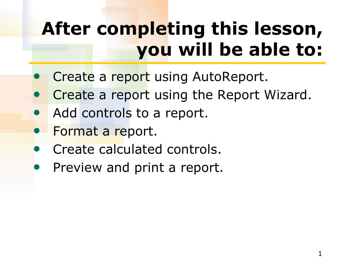## **After completing this lesson, you will be able to:**

- Create a report using AutoReport.
- **Create a report using the Report Wizard.**
- Add controls to a report.
- Format a report.
- Create calculated controls.
- Preview and print a report.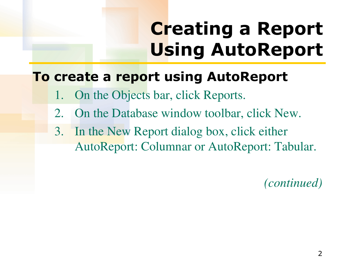## **Creating a Report Using AutoReport**

#### **To create a report using AutoReport**

- On the Objects bar, click Reports.
- 2. On the Database window toolbar, click New.
- 3. In the New Report dialog box, click either AutoReport: Columnar or AutoReport: Tabular.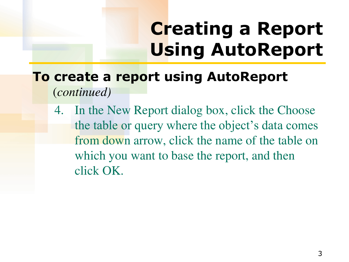### **Creating a Report Using AutoReport**

#### **To create a report using AutoReport**  (*continued)*

4. In the New Report dialog box, click the Choose the table or query where the object's data comes from down arrow, click the name of the table on which you want to base the report, and then click OK.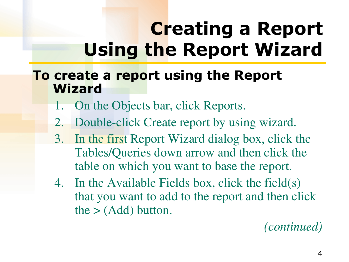#### **To create a report using the Report Wizard**

- On the Objects bar, click Reports.
- 2. Double-click Create report by using wizard.
- 3. In the first Report Wizard dialog box, click the Tables/Queries down arrow and then click the table on which you want to base the report.
- 4. In the Available Fields box, click the field(s) that you want to add to the report and then click the  $>$  (Add) button.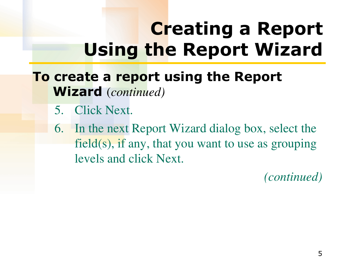**To create a report using the Report Wizard** (*continued)*

- 5. Click Next.
- 6. In the next Report Wizard dialog box, select the field(s), if any, that you want to use as grouping levels and click Next.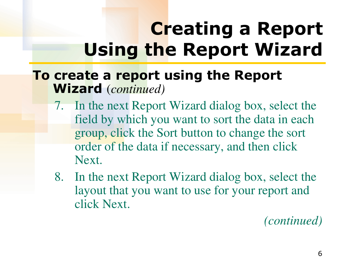#### **To create a report using the Report Wizard** (*continued)*

- 7. In the next Report Wizard dialog box, select the field by which you want to sort the data in each group, click the Sort button to change the sort order of the data if necessary, and then click Next.
- 8. In the next Report Wizard dialog box, select the layout that you want to use for your report and click Next.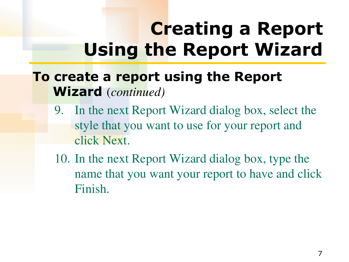#### **To create a report using the Report Wizard** (*continued)*

- 9. In the next Report Wizard dialog box, select the style that you want to use for your report and click Next.
- 10. In the next Report Wizard dialog box, type the name that you want your report to have and click Finish.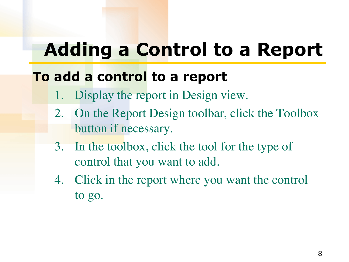### **Adding a Control to a Report**

#### **To add a control to a report**

- 1. Display the report in Design view.
- 2. On the Report Design toolbar, click the Toolbox button if necessary.
- 3. In the toolbox, click the tool for the type of control that you want to add.
- 4. Click in the report where you want the control to go.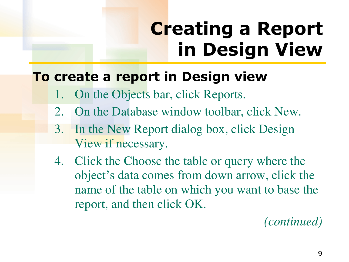# **Creating a Report in Design View**

#### **To create a report in Design view**

- On the Objects bar, click Reports.
- 2. On the Database window toolbar, click New.
- 3. In the New Report dialog box, click Design View if necessary.
- 4. Click the Choose the table or query where the object's data comes from down arrow, click the name of the table on which you want to base the report, and then click OK.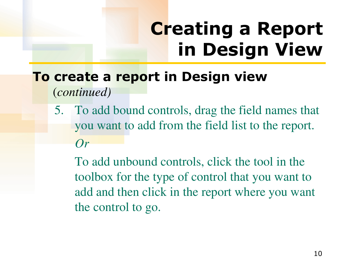## **Creating a Report in Design View**

#### **To create a report in Design view**  (*continued)*

5. To add bound controls, drag the field names that you want to add from the field list to the report. *Or*

 To add unbound controls, click the tool in the toolbox for the type of control that you want to add and then click in the report where you want the control to go.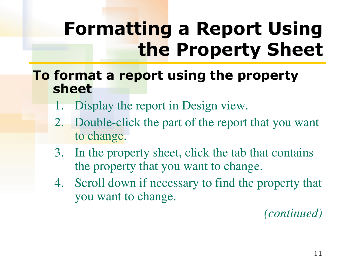### **Formatting a Report Using the Property Sheet**

#### **To format a report using the property sheet**

- Display the report in Design view.
- 2. Double-click the part of the report that you want to change.
- 3. In the property sheet, click the tab that contains the property that you want to change.
- 4. Scroll down if necessary to find the property that you want to change.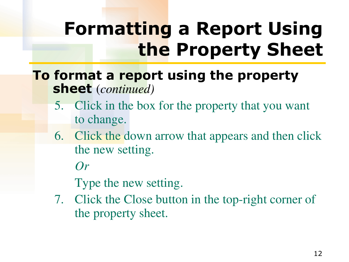## **Formatting a Report Using the Property Sheet**

#### **To format a report using the property sheet** (*continued)*

- 5. Click in the box for the property that you want to change.
- 6. Click the down arrow that appears and then click the new setting.

*Or*

Type the new setting.

7. Click the Close button in the top-right corner of the property sheet.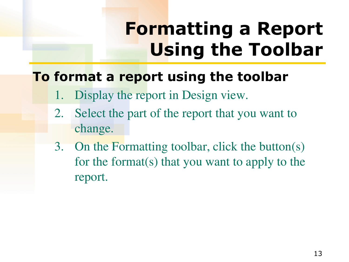### **Formatting a Report Using the Toolbar**

### **To format a report using the toolbar**

- 1. Display the report in Design view.
- 2. Select the part of the report that you want to change.
- 3. On the Formatting toolbar, click the button(s) for the format(s) that you want to apply to the report.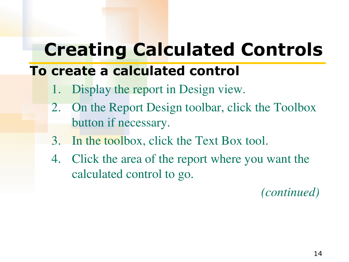### **Creating Calculated Controls**

### **To create a calculated control**

- 1. Display the report in Design view.
- 2. On the Report Design toolbar, click the Toolbox button if necessary.
- 3. In the toolbox, click the Text Box tool.
- 4. Click the area of the report where you want the calculated control to go.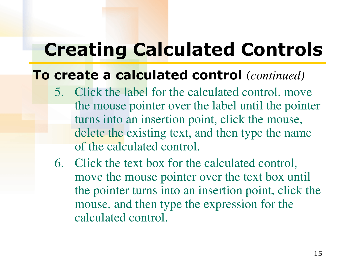### **Creating Calculated Controls**

#### **To create a calculated control** (*continued)*

- 5. Click the label for the calculated control, move the mouse pointer over the label until the pointer turns into an insertion point, click the mouse, delete the existing text, and then type the name of the calculated control.
- 6. Click the text box for the calculated control, move the mouse pointer over the text box until the pointer turns into an insertion point, click the mouse, and then type the expression for the calculated control.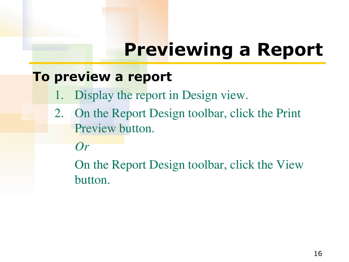### **Previewing a Report**

#### **To preview a report**

- 1. Display the report in Design view.
- 2. On the Report Design toolbar, click the Print Preview button.

*Or*

 On the Report Design toolbar, click the View button.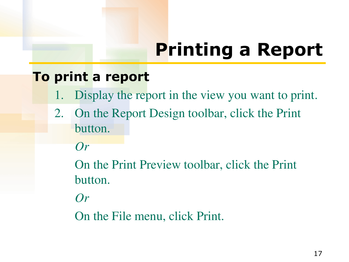# **Printing a Report**

#### **To print a report**

- 1. Display the report in the view you want to print.
- 2. On the Report Design toolbar, click the Print button.

*Or*

 On the Print Preview toolbar, click the Print button.

*Or*

On the File menu, click Print.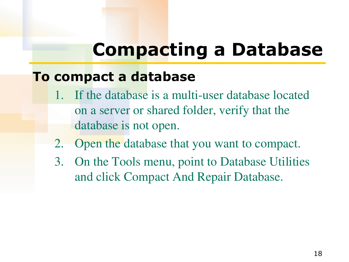### **Compacting a Database**

#### **To compact a database**

- If the database is a multi-user database located on a server or shared folder, verify that the database is not open.
- 2. Open the database that you want to compact.
- 3. On the Tools menu, point to Database Utilities and click Compact And Repair Database.